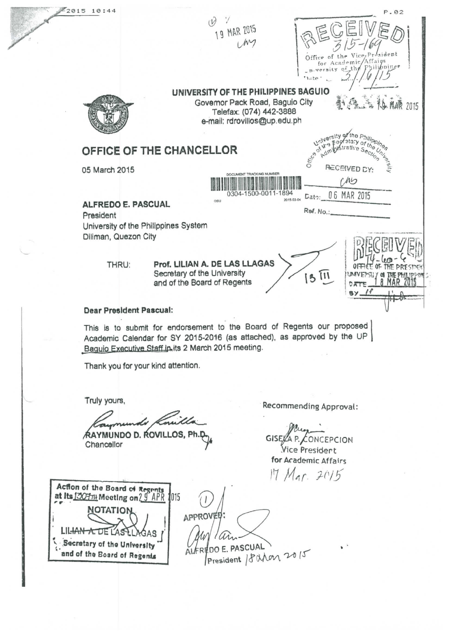